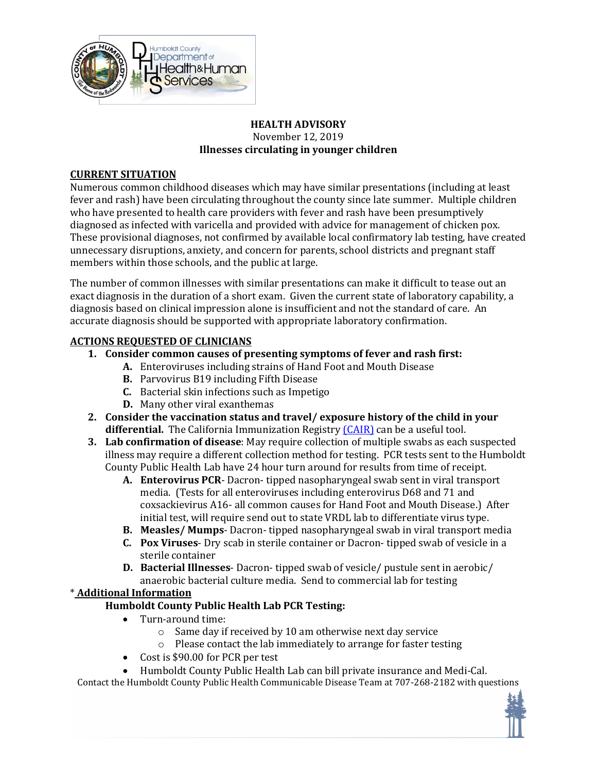

#### **HEALTH ADVISORY** November 12, 2019 **Illnesses circulating in younger children**

# **CURRENT SITUATION**

Numerous common childhood diseases which may have similar presentations (including at least fever and rash) have been circulating throughout the county since late summer. Multiple children who have presented to health care providers with fever and rash have been presumptively diagnosed as infected with varicella and provided with advice for management of chicken pox. These provisional diagnoses, not confirmed by available local confirmatory lab testing, have created unnecessary disruptions, anxiety, and concern for parents, school districts and pregnant staff members within those schools, and the public at large.

The number of common illnesses with similar presentations can make it difficult to tease out an exact diagnosis in the duration of a short exam. Given the current state of laboratory capability, a diagnosis based on clinical impression alone is insufficient and not the standard of care. An accurate diagnosis should be supported with appropriate laboratory confirmation.

# **ACTIONS REQUESTED OF CLINICIANS**

- **1. Consider common causes of presenting symptoms of fever and rash first:**
	- **A.** Enteroviruses including strains of Hand Foot and Mouth Disease
		- **B.** Parvovirus B19 including Fifth Disease
		- **C.** Bacterial skin infections such as Impetigo
		- **D.** Many other viral exanthemas
- **2. Consider the vaccination status and travel/ exposure history of the child in your** differential. The California Immunization Registry *[CAIR]* can be a useful tool.
- **3. Lab confirmation of disease**: May require collection of multiple swabs as each suspected illness may require a different collection method for testing. PCR tests sent to the Humboldt County Public Health Lab have 24 hour turn around for results from time of receipt.
	- **A. Enterovirus PCR** Dacron- tipped nasopharyngeal swab sent in viral transport media. (Tests for all enteroviruses including enterovirus D68 and 71 and coxsackievirus A16- all common causes for Hand Foot and Mouth Disease.) After initial test, will require send out to state VRDL lab to differentiate virus type.
	- **B. Measles/ Mumps** Dacron- tipped nasopharyngeal swab in viral transport media
	- **C. Pox Viruses** Dry scab in sterile container or Dacron- tipped swab of vesicle in a sterile container
	- **D. Bacterial Illnesses** Dacron- tipped swab of vesicle/ pustule sent in aerobic/ anaerobic bacterial culture media. Send to commercial lab for testing

# \* **Additional Information**

# **Humboldt County Public Health Lab PCR Testing:**

- Turn-around time:
	- o Same day if received by 10 am otherwise next day service
	- o Please contact the lab immediately to arrange for faster testing
- Cost is \$90.00 for PCR per test
- Humboldt County Public Health Lab can bill private insurance and Medi-Cal.

Contact the Humboldt County Public Health Communicable Disease Team at 707-268-2182 with questions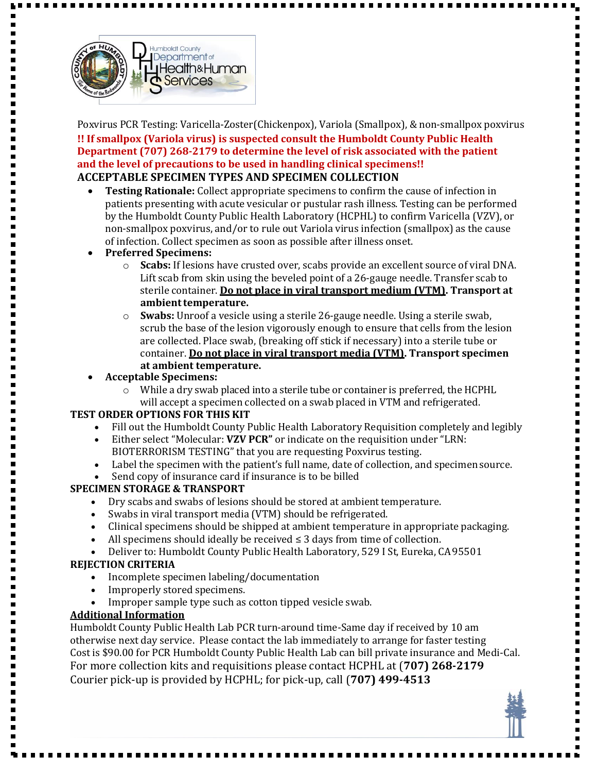

Н

Н

Poxvirus PCR Testing: Varicella-Zoster(Chickenpox), Variola (Smallpox), & non-smallpox poxvirus **!! If smallpox (Variola virus) is suspected consult the Humboldt County Public Health Department (707) 268-2179 to determine the level of risk associated with the patient and the level of precautions to be used in handling clinical specimens!! ACCEPTABLE SPECIMEN TYPES AND SPECIMEN COLLECTION**

- **Testing Rationale:** Collect appropriate specimens to confirm the cause of infection in patients presenting with acute vesicular or pustular rash illness. Testing can be performed by the Humboldt County Public Health Laboratory (HCPHL) to confirm Varicella (VZV), or non-smallpox poxvirus, and/or to rule out Variola virus infection (smallpox) as the cause of infection. Collect specimen as soon as possible after illness onset.
- **Preferred Specimens:**
	- o **Scabs:** If lesions have crusted over, scabs provide an excellent source of viral DNA. Lift scab from skin using the beveled point of a 26-gauge needle. Transfer scab to sterile container. **Do not place in viral transport medium (VTM). Transport at ambienttemperature.**
	- o **Swabs:** Unroof a vesicle using a sterile 26-gauge needle. Using a sterile swab, scrub the base of the lesion vigorously enough to ensure that cells from the lesion are collected. Place swab, (breaking off stick if necessary) into a sterile tube or container. **Do not place in viral transport media (VTM). Transport specimen at ambient temperature.**
- **Acceptable Specimens:**
	- $\circ$  While a dry swab placed into a sterile tube or container is preferred, the HCPHL will accept a specimen collected on a swab placed in VTM and refrigerated.

#### **TEST ORDER OPTIONS FOR THIS KIT**

- Fill out the Humboldt County Public Health Laboratory Requisition completely and legibly
- Either select "Molecular: **VZV PCR"** or indicate on the requisition under "LRN: BIOTERRORISM TESTING" that you are requesting Poxvirus testing.
- Label the specimen with the patient's full name, date of collection, and specimen source.
- Send copy of insurance card if insurance is to be billed

#### **SPECIMEN STORAGE & TRANSPORT**

- Dry scabs and swabs of lesions should be stored at ambient temperature.
- Swabs in viral transport media (VTM) should be refrigerated.
- Clinical specimens should be shipped at ambient temperature in appropriate packaging.
- All specimens should ideally be received ≤ 3 days from time of collection.
- Deliver to: Humboldt County Public Health Laboratory, 529 I St, Eureka, CA95501

#### **REJECTION CRITERIA**

- Incomplete specimen labeling/documentation
- Improperly stored specimens.
- Improper sample type such as cotton tipped vesicle swab.

#### **Additional Information**

Humboldt County Public Health Lab PCR turn-around time-Same day if received by 10 am otherwise next day service. Please contact the lab immediately to arrange for faster testing Cost is \$90.00 for PCR Humboldt County Public Health Lab can bill private insurance and Medi-Cal. For more collection kits and requisitions please contact HCPHL at (**707) 268-2179** Courier pick-up is provided by HCPHL; for pick-up, call (**707) 499-4513**